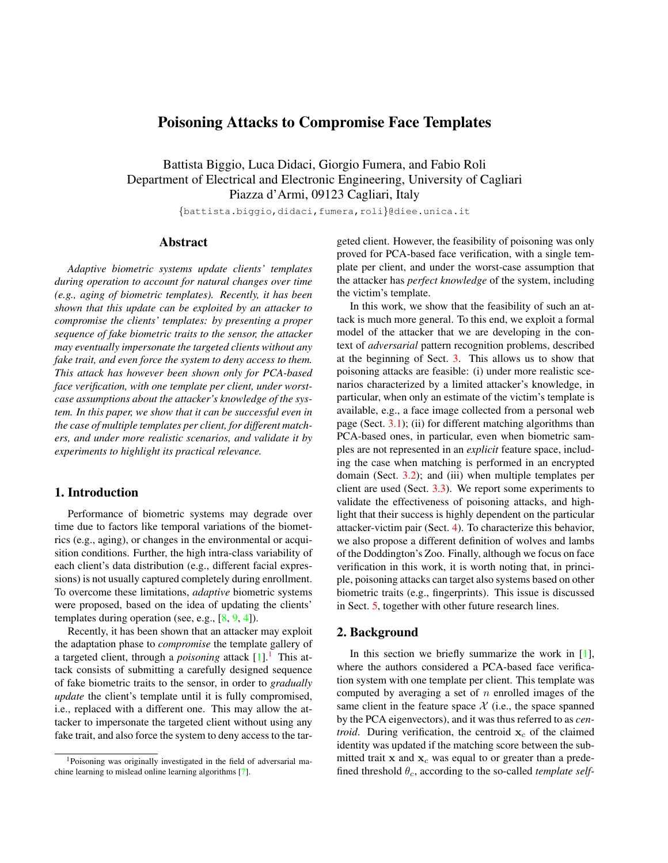# Poisoning Attacks to Compromise Face Templates

<span id="page-0-2"></span>Battista Biggio, Luca Didaci, Giorgio Fumera, and Fabio Roli Department of Electrical and Electronic Engineering, University of Cagliari Piazza d'Armi, 09123 Cagliari, Italy

{battista.biggio,didaci,fumera,roli}@diee.unica.it

#### Abstract

*Adaptive biometric systems update clients' templates during operation to account for natural changes over time (e.g., aging of biometric templates). Recently, it has been shown that this update can be exploited by an attacker to compromise the clients' templates: by presenting a proper sequence of fake biometric traits to the sensor, the attacker may eventually impersonate the targeted clients without any fake trait, and even force the system to deny access to them. This attack has however been shown only for PCA-based face verification, with one template per client, under worstcase assumptions about the attacker's knowledge of the system. In this paper, we show that it can be successful even in the case of multiple templates per client, for different matchers, and under more realistic scenarios, and validate it by experiments to highlight its practical relevance.*

## 1. Introduction

Performance of biometric systems may degrade over time due to factors like temporal variations of the biometrics (e.g., aging), or changes in the environmental or acquisition conditions. Further, the high intra-class variability of each client's data distribution (e.g., different facial expressions) is not usually captured completely during enrollment. To overcome these limitations, *adaptive* biometric systems were proposed, based on the idea of updating the clients' templates during operation (see, e.g.,  $[8, 9, 4]$  $[8, 9, 4]$  $[8, 9, 4]$  $[8, 9, 4]$  $[8, 9, 4]$ ).

Recently, it has been shown that an attacker may exploit the adaptation phase to *compromise* the template gallery of a targeted client, through a *poisoning* attack [\[1\]](#page-6-3).<sup>[1](#page-0-0)</sup> This attack consists of submitting a carefully designed sequence of fake biometric traits to the sensor, in order to *gradually update* the client's template until it is fully compromised, i.e., replaced with a different one. This may allow the attacker to impersonate the targeted client without using any fake trait, and also force the system to deny access to the targeted client. However, the feasibility of poisoning was only proved for PCA-based face verification, with a single template per client, and under the worst-case assumption that the attacker has *perfect knowledge* of the system, including the victim's template.

In this work, we show that the feasibility of such an attack is much more general. To this end, we exploit a formal model of the attacker that we are developing in the context of *adversarial* pattern recognition problems, described at the beginning of Sect. [3.](#page-1-0) This allows us to show that poisoning attacks are feasible: (i) under more realistic scenarios characterized by a limited attacker's knowledge, in particular, when only an estimate of the victim's template is available, e.g., a face image collected from a personal web page (Sect.  $3.1$ ); (ii) for different matching algorithms than PCA-based ones, in particular, even when biometric samples are not represented in an *explicit* feature space, including the case when matching is performed in an encrypted domain (Sect. [3.2\)](#page-3-0); and (iii) when multiple templates per client are used (Sect. [3.3\)](#page-3-1). We report some experiments to validate the effectiveness of poisoning attacks, and highlight that their success is highly dependent on the particular attacker-victim pair (Sect. [4\)](#page-4-0). To characterize this behavior, we also propose a different definition of wolves and lambs of the Doddington's Zoo. Finally, although we focus on face verification in this work, it is worth noting that, in principle, poisoning attacks can target also systems based on other biometric traits (e.g., fingerprints). This issue is discussed in Sect. [5,](#page-5-0) together with other future research lines.

#### <span id="page-0-1"></span>2. Background

In this section we briefly summarize the work in  $[1]$ , where the authors considered a PCA-based face verification system with one template per client. This template was computed by averaging a set of n enrolled images of the same client in the feature space  $X$  (i.e., the space spanned by the PCA eigenvectors), and it was thus referred to as *centroid*. During verification, the centroid  $x_c$  of the claimed identity was updated if the matching score between the submitted trait  $x$  and  $x_c$  was equal to or greater than a predefined threshold  $\theta_c$ , according to the so-called *template self-*

<span id="page-0-0"></span><sup>1</sup>Poisoning was originally investigated in the field of adversarial machine learning to mislead online learning algorithms [\[7\]](#page-6-4).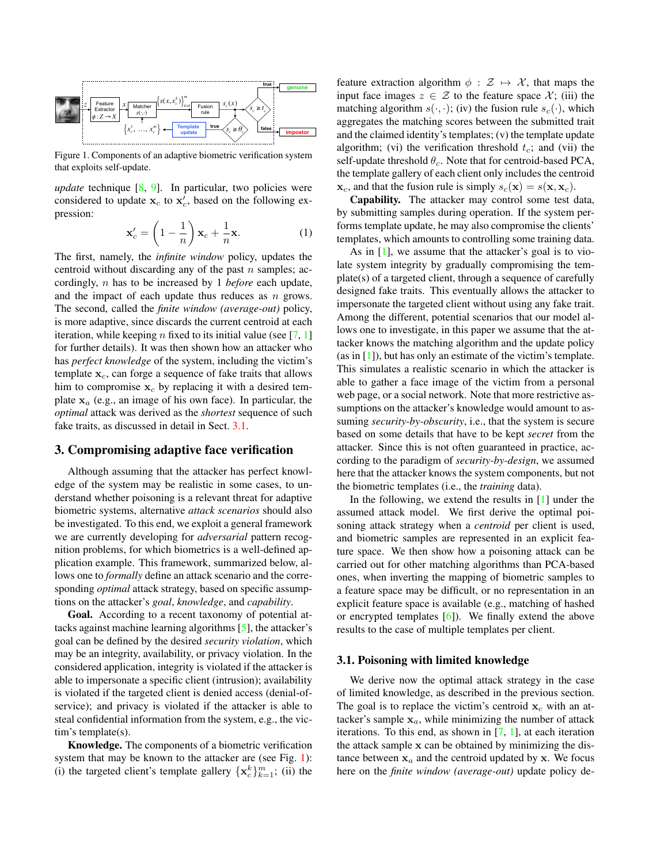<span id="page-1-4"></span>

<span id="page-1-2"></span>Figure 1. Components of an adaptive biometric verification system that exploits self-update.

*update* technique [\[8,](#page-6-0) [9\]](#page-6-1). In particular, two policies were considered to update  $x_c$  to  $x_c'$ , based on the following expression:

<span id="page-1-3"></span>
$$
\mathbf{x}'_c = \left(1 - \frac{1}{n}\right)\mathbf{x}_c + \frac{1}{n}\mathbf{x}.\tag{1}
$$

The first, namely, the *infinite window* policy, updates the centroid without discarding any of the past  $n$  samples; accordingly, n has to be increased by 1 *before* each update, and the impact of each update thus reduces as  $n$  grows. The second, called the *finite window (average-out)* policy, is more adaptive, since discards the current centroid at each iteration, while keeping *n* fixed to its initial value (see  $[7, 1]$  $[7, 1]$  $[7, 1]$ ) for further details). It was then shown how an attacker who has *perfect knowledge* of the system, including the victim's template  $x_c$ , can forge a sequence of fake traits that allows him to compromise  $x_c$  by replacing it with a desired template  $x_a$  (e.g., an image of his own face). In particular, the *optimal* attack was derived as the *shortest* sequence of such fake traits, as discussed in detail in Sect. [3.1.](#page-1-1)

#### <span id="page-1-0"></span>3. Compromising adaptive face verification

Although assuming that the attacker has perfect knowledge of the system may be realistic in some cases, to understand whether poisoning is a relevant threat for adaptive biometric systems, alternative *attack scenarios* should also be investigated. To this end, we exploit a general framework we are currently developing for *adversarial* pattern recognition problems, for which biometrics is a well-defined application example. This framework, summarized below, allows one to *formally* define an attack scenario and the corresponding *optimal* attack strategy, based on specific assumptions on the attacker's *goal*, *knowledge*, and *capability*.

Goal. According to a recent taxonomy of potential attacks against machine learning algorithms [\[5\]](#page-6-5), the attacker's goal can be defined by the desired *security violation*, which may be an integrity, availability, or privacy violation. In the considered application, integrity is violated if the attacker is able to impersonate a specific client (intrusion); availability is violated if the targeted client is denied access (denial-ofservice); and privacy is violated if the attacker is able to steal confidential information from the system, e.g., the victim's template(s).

Knowledge. The components of a biometric verification system that may be known to the attacker are (see Fig. [1\)](#page-1-2): (i) the targeted client's template gallery  $\{x_c^k\}_{k=1}^m$ ; (ii) the

feature extraction algorithm  $\phi : \mathcal{Z} \mapsto \mathcal{X}$ , that maps the input face images  $z \in \mathcal{Z}$  to the feature space  $\mathcal{X}$ ; (iii) the matching algorithm  $s(\cdot, \cdot)$ ; (iv) the fusion rule  $s_c(\cdot)$ , which aggregates the matching scores between the submitted trait and the claimed identity's templates; (v) the template update algorithm; (vi) the verification threshold  $t_c$ ; and (vii) the self-update threshold  $\theta_c$ . Note that for centroid-based PCA, the template gallery of each client only includes the centroid  $x_c$ , and that the fusion rule is simply  $s_c(\mathbf{x}) = s(\mathbf{x}, \mathbf{x}_c)$ .

Capability. The attacker may control some test data, by submitting samples during operation. If the system performs template update, he may also compromise the clients' templates, which amounts to controlling some training data.

As in  $[1]$ , we assume that the attacker's goal is to violate system integrity by gradually compromising the template(s) of a targeted client, through a sequence of carefully designed fake traits. This eventually allows the attacker to impersonate the targeted client without using any fake trait. Among the different, potential scenarios that our model allows one to investigate, in this paper we assume that the attacker knows the matching algorithm and the update policy (as in [\[1\]](#page-6-3)), but has only an estimate of the victim's template. This simulates a realistic scenario in which the attacker is able to gather a face image of the victim from a personal web page, or a social network. Note that more restrictive assumptions on the attacker's knowledge would amount to assuming *security-by-obscurity*, i.e., that the system is secure based on some details that have to be kept *secret* from the attacker. Since this is not often guaranteed in practice, according to the paradigm of *security-by-design*, we assumed here that the attacker knows the system components, but not the biometric templates (i.e., the *training* data).

In the following, we extend the results in [\[1\]](#page-6-3) under the assumed attack model. We first derive the optimal poisoning attack strategy when a *centroid* per client is used, and biometric samples are represented in an explicit feature space. We then show how a poisoning attack can be carried out for other matching algorithms than PCA-based ones, when inverting the mapping of biometric samples to a feature space may be difficult, or no representation in an explicit feature space is available (e.g., matching of hashed or encrypted templates [\[6\]](#page-6-6)). We finally extend the above results to the case of multiple templates per client.

#### <span id="page-1-1"></span>3.1. Poisoning with limited knowledge

We derive now the optimal attack strategy in the case of limited knowledge, as described in the previous section. The goal is to replace the victim's centroid  $x_c$  with an attacker's sample  $x_a$ , while minimizing the number of attack iterations. To this end, as shown in  $[7, 1]$  $[7, 1]$  $[7, 1]$ , at each iteration the attack sample x can be obtained by minimizing the distance between  $x_a$  and the centroid updated by x. We focus here on the *finite window (average-out)* update policy de-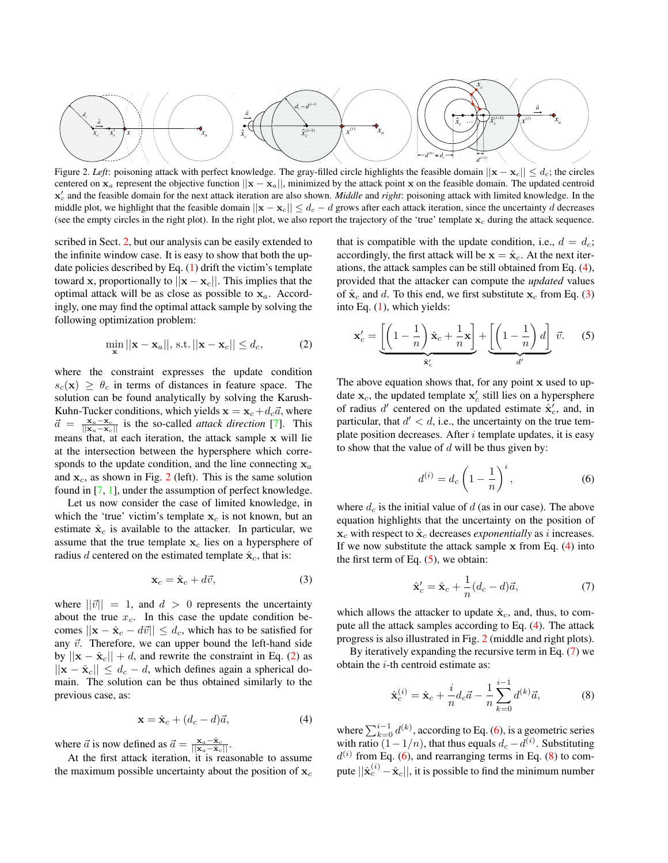<span id="page-2-8"></span>

<span id="page-2-0"></span>(see the empty circles in the right plot). In the right plot, we also report the trajectory of the 'true' template  $x_c$  during the attack sequence. middle plot, we highlight that the feasible domain  $||\mathbf{x} - \mathbf{x}_c|| \leq d_c - d$  grows after each attack iteration, since the uncertainty d decreases Figure 2. *Left*: poisoning attack with perfect knowledge. The gray-filled circle highlights the feasible domain  $||\mathbf{x} - \mathbf{x}_c|| \leq d_c$ ; the circles centered on  $x_a$  represent the objective function  $||x - x_a||$ , minimized by the attack point x on the feasible domain. The updated centroid  $x_c'$  and the feasible domain for the next attack iteration are also shown. *Middle* and *right*: poisoning attack with limited knowledge. In the

scribed in Sect. [2,](#page-0-1) but our analysis can be easily extended to the infinite window case. It is easy to show that both the update policies described by Eq. [\(1\)](#page-1-3) drift the victim's template toward x, proportionally to  $||\mathbf{x} - \mathbf{x}_c||$ . This implies that the optimal attack will be as close as possible to  $x_a$ . Accordingly, one may find the optimal attack sample by solving the following optimization problem:

<span id="page-2-1"></span>
$$
\min_{\mathbf{x}} ||\mathbf{x} - \mathbf{x}_a||, \text{ s.t. } ||\mathbf{x} - \mathbf{x}_c|| \le d_c,
$$
 (2)

where the constraint expresses the update condition  $s_c(\mathbf{x}) > \theta_c$  in terms of distances in feature space. The solution can be found analytically by solving the Karush-Kuhn-Tucker conditions, which yields  $\mathbf{x} = \mathbf{x}_c + d_c \vec{a}$ , where  $\vec{a} = \frac{x_a - x_c}{\|x_a - x_c\|}$  is the so-called *attack direction* [\[7\]](#page-6-4). This means that, at each iteration, the attack sample x will lie at the intersection between the hypersphere which corresponds to the update condition, and the line connecting  $x_a$ and  $x_c$ , as shown in Fig. [2](#page-2-0) (left). This is the same solution found in [\[7,](#page-6-4) [1\]](#page-6-3), under the assumption of perfect knowledge.

Let us now consider the case of limited knowledge, in which the 'true' victim's template  $x_c$  is not known, but an estimate  $\hat{\mathbf{x}}_c$  is available to the attacker. In particular, we assume that the true template  $x_c$  lies on a hypersphere of radius d centered on the estimated template  $\hat{\mathbf{x}}_c$ , that is:

<span id="page-2-3"></span>
$$
\mathbf{x}_c = \hat{\mathbf{x}}_c + d\vec{v},\tag{3}
$$

where  $||\vec{v}|| = 1$ , and  $d > 0$  represents the uncertainty about the true  $x_c$ . In this case the update condition becomes  $||\mathbf{x} - \hat{\mathbf{x}}_c - d\vec{v}|| \leq d_c$ , which has to be satisfied for any  $\vec{v}$ . Therefore, we can upper bound the left-hand side by  $||\mathbf{x} - \hat{\mathbf{x}}_c|| + d$ , and rewrite the constraint in Eq. [\(2\)](#page-2-1) as  $||\mathbf{x} - \hat{\mathbf{x}}_c|| \leq d_c - d$ , which defines again a spherical domain. The solution can be thus obtained similarly to the previous case, as:

<span id="page-2-2"></span>
$$
\mathbf{x} = \hat{\mathbf{x}}_c + (d_c - d)\vec{a},\tag{4}
$$

where  $\vec{a}$  is now defined as  $\vec{a} = \frac{\mathbf{x}_a - \hat{\mathbf{x}}_c}{\|\mathbf{x}_a - \hat{\mathbf{x}}_c\|}.$ 

At the first attack iteration, it is reasonable to assume the maximum possible uncertainty about the position of  $x_c$ 

that is compatible with the update condition, i.e.,  $d = d_c$ ; accordingly, the first attack will be  $x = \hat{x}_c$ . At the next iterations, the attack samples can be still obtained from Eq. [\(4\)](#page-2-2), provided that the attacker can compute the *updated* values of  $\hat{\mathbf{x}}_c$  and d. To this end, we first substitute  $\mathbf{x}_c$  from Eq. [\(3\)](#page-2-3) into Eq. [\(1\)](#page-1-3), which yields:

<span id="page-2-4"></span>
$$
\mathbf{x}'_c = \underbrace{\left[ \left( 1 - \frac{1}{n} \right) \hat{\mathbf{x}}_c + \frac{1}{n} \mathbf{x} \right]}_{\hat{\mathbf{x}}'_c} + \underbrace{\left[ \left( 1 - \frac{1}{n} \right) d \right]}_{d'} \vec{v}. \tag{5}
$$

The above equation shows that, for any point x used to update  $\mathbf{x}_c$ , the updated template  $\mathbf{x}'_c$  still lies on a hypersphere of radius  $d'$  centered on the updated estimate  $\hat{\mathbf{x}}'_c$ , and, in particular, that  $d' < d$ , i.e., the uncertainty on the true template position decreases. After  $i$  template updates, it is easy to show that the value of  $d$  will be thus given by:

<span id="page-2-6"></span>
$$
d^{(i)} = d_c \left(1 - \frac{1}{n}\right)^i,\tag{6}
$$

where  $d_c$  is the initial value of d (as in our case). The above equation highlights that the uncertainty on the position of  $x_c$  with respect to  $\hat{x}_c$  decreases *exponentially* as *i* increases. If we now substitute the attack sample  $x$  from Eq. [\(4\)](#page-2-2) into the first term of Eq.  $(5)$ , we obtain:

<span id="page-2-5"></span>
$$
\hat{\mathbf{x}}'_c = \hat{\mathbf{x}}_c + \frac{1}{n}(d_c - d)\vec{a},\tag{7}
$$

which allows the attacker to update  $\hat{\mathbf{x}}_c$ , and, thus, to compute all the attack samples according to Eq. [\(4\)](#page-2-2). The attack progress is also illustrated in Fig. [2](#page-2-0) (middle and right plots).

By iteratively expanding the recursive term in Eq. [\(7\)](#page-2-5) we obtain the  $i$ -th centroid estimate as:

<span id="page-2-7"></span>
$$
\hat{\mathbf{x}}_c^{(i)} = \hat{\mathbf{x}}_c + \frac{i}{n} d_c \vec{a} - \frac{1}{n} \sum_{k=0}^{i-1} d^{(k)} \vec{a},\tag{8}
$$

where  $\sum_{k=0}^{i-1} d^{(k)}$ , according to Eq. [\(6\)](#page-2-6), is a geometric series with ratio  $(1-1/n)$ , that thus equals  $d_c - d^{(i)}$ . Substituting  $d^{(i)}$  from Eq. [\(6\)](#page-2-6), and rearranging terms in Eq. [\(8\)](#page-2-7) to compute  $||\hat{\textbf{x}}_c^{(i)} - \hat{\textbf{x}}_c||$ , it is possible to find the minimum number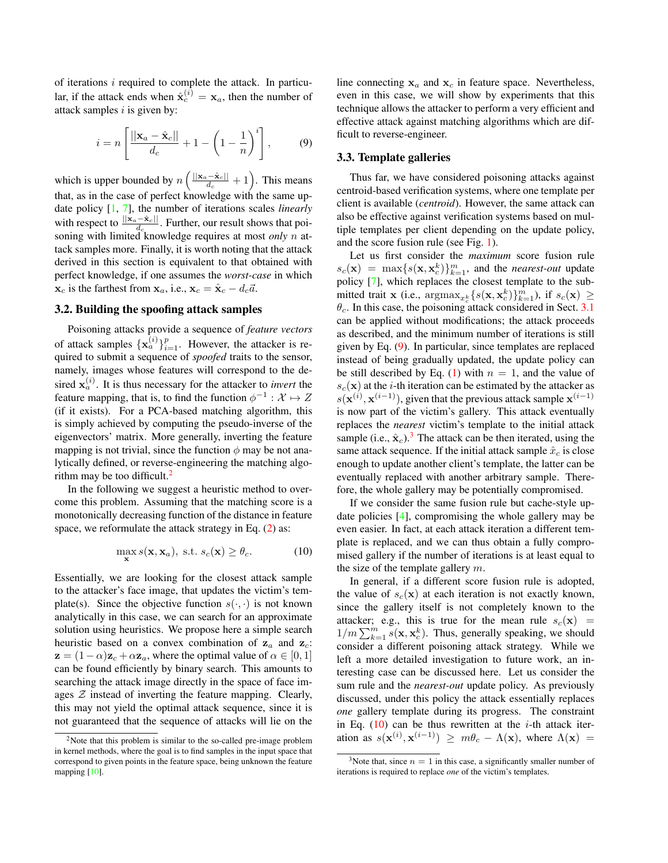<span id="page-3-6"></span>of iterations i required to complete the attack. In particular, if the attack ends when  $\hat{\mathbf{x}}_c^{(i)} = \mathbf{x}_a$ , then the number of attack samples  $i$  is given by:

<span id="page-3-3"></span>
$$
i = n \left[ \frac{||\mathbf{x}_a - \hat{\mathbf{x}}_c||}{d_c} + 1 - \left(1 - \frac{1}{n}\right)^i \right],\tag{9}
$$

which is upper bounded by  $n\left(\frac{||\mathbf{x}_a-\hat{\mathbf{x}}_c||}{d}\right)$  $\frac{(-\hat{\mathbf{x}}_c)}{d_c}$  + 1). This means that, as in the case of perfect knowledge with the same update policy [\[1,](#page-6-3) [7\]](#page-6-4), the number of iterations scales *linearly* with respect to  $\frac{\|\mathbf{x}_a - \hat{\mathbf{x}}_c\|}{d_c}$ . Further, our result shows that poisoning with limited knowledge requires at most *only* n attack samples more. Finally, it is worth noting that the attack derived in this section is equivalent to that obtained with perfect knowledge, if one assumes the *worst-case* in which  $x_c$  is the farthest from  $x_a$ , i.e.,  $x_c = \hat{x}_c - d_c \vec{a}$ .

#### <span id="page-3-0"></span>3.2. Building the spoofing attack samples

Poisoning attacks provide a sequence of *feature vectors* of attack samples  $\{x_a^{(i)}\}_{i=1}^p$ . However, the attacker is required to submit a sequence of *spoofed* traits to the sensor, namely, images whose features will correspond to the desired  $\mathbf{x}_a^{(i)}$ . It is thus necessary for the attacker to *invert* the feature mapping, that is, to find the function  $\phi^{-1} : \mathcal{X} \mapsto Z$ (if it exists). For a PCA-based matching algorithm, this is simply achieved by computing the pseudo-inverse of the eigenvectors' matrix. More generally, inverting the feature mapping is not trivial, since the function  $\phi$  may be not analytically defined, or reverse-engineering the matching algorithm may be too difficult.[2](#page-3-2)

In the following we suggest a heuristic method to overcome this problem. Assuming that the matching score is a monotonically decreasing function of the distance in feature space, we reformulate the attack strategy in Eq. [\(2\)](#page-2-1) as:

<span id="page-3-5"></span>
$$
\max_{\mathbf{x}} s(\mathbf{x}, \mathbf{x}_a), \text{ s.t. } s_c(\mathbf{x}) \ge \theta_c.
$$
 (10)

Essentially, we are looking for the closest attack sample to the attacker's face image, that updates the victim's template(s). Since the objective function  $s(\cdot, \cdot)$  is not known analytically in this case, we can search for an approximate solution using heuristics. We propose here a simple search heuristic based on a convex combination of  $z_a$  and  $z_c$ :  $z = (1 - \alpha)z_c + \alpha z_a$ , where the optimal value of  $\alpha \in [0, 1]$ can be found efficiently by binary search. This amounts to searching the attack image directly in the space of face images  $Z$  instead of inverting the feature mapping. Clearly, this may not yield the optimal attack sequence, since it is not guaranteed that the sequence of attacks will lie on the line connecting  $x_a$  and  $x_c$  in feature space. Nevertheless, even in this case, we will show by experiments that this technique allows the attacker to perform a very efficient and effective attack against matching algorithms which are difficult to reverse-engineer.

#### <span id="page-3-1"></span>3.3. Template galleries

Thus far, we have considered poisoning attacks against centroid-based verification systems, where one template per client is available (*centroid*). However, the same attack can also be effective against verification systems based on multiple templates per client depending on the update policy, and the score fusion rule (see Fig. [1\)](#page-1-2).

Let us first consider the *maximum* score fusion rule  $s_c(\mathbf{x}) = \max\{s(\mathbf{x}, \mathbf{x}_c^k)\}_{k=1}^m$ , and the *nearest-out* update policy [\[7\]](#page-6-4), which replaces the closest template to the submitted trait **x** (i.e.,  $\operatorname{argmax}_{x_c^k} \{ s(\mathbf{x}, \mathbf{x}_c^k) \}_{k=1}^m$ ), if  $s_c(\mathbf{x}) \ge$  $\theta_c$ . In this case, the poisoning attack considered in Sect. [3.1](#page-1-1) can be applied without modifications; the attack proceeds as described, and the minimum number of iterations is still given by Eq. [\(9\)](#page-3-3). In particular, since templates are replaced instead of being gradually updated, the update policy can be still described by Eq. [\(1\)](#page-1-3) with  $n = 1$ , and the value of  $s_c(\mathbf{x})$  at the *i*-th iteration can be estimated by the attacker as  $s(\mathbf{x}^{(i)}, \mathbf{x}^{(i-1)})$ , given that the previous attack sample  $\mathbf{x}^{(i-1)}$ is now part of the victim's gallery. This attack eventually replaces the *nearest* victim's template to the initial attack sample (i.e.,  $\hat{\mathbf{x}}_c$ ).<sup>[3](#page-3-4)</sup> The attack can be then iterated, using the same attack sequence. If the initial attack sample  $\hat{x}_c$  is close enough to update another client's template, the latter can be eventually replaced with another arbitrary sample. Therefore, the whole gallery may be potentially compromised.

If we consider the same fusion rule but cache-style update policies [\[4\]](#page-6-2), compromising the whole gallery may be even easier. In fact, at each attack iteration a different template is replaced, and we can thus obtain a fully compromised gallery if the number of iterations is at least equal to the size of the template gallery  $m$ .

In general, if a different score fusion rule is adopted, the value of  $s_c(\mathbf{x})$  at each iteration is not exactly known, since the gallery itself is not completely known to the attacker; e.g., this is true for the mean rule  $s_c(\mathbf{x})$  =  $1/m \sum_{k=1}^{m} s(\mathbf{x}, \mathbf{x}_{c}^{k})$ . Thus, generally speaking, we should consider a different poisoning attack strategy. While we left a more detailed investigation to future work, an interesting case can be discussed here. Let us consider the sum rule and the *nearest-out* update policy. As previously discussed, under this policy the attack essentially replaces *one* gallery template during its progress. The constraint in Eq.  $(10)$  can be thus rewritten at the *i*-th attack iteration as  $s(\mathbf{x}^{(i)}, \mathbf{x}^{(i-1)}) \geq m\theta_c - \Lambda(\mathbf{x})$ , where  $\Lambda(\mathbf{x}) =$ 

<span id="page-3-2"></span> $2$ Note that this problem is similar to the so-called pre-image problem in kernel methods, where the goal is to find samples in the input space that correspond to given points in the feature space, being unknown the feature mapping [\[10\]](#page-6-7).

<span id="page-3-4"></span><sup>&</sup>lt;sup>3</sup>Note that, since  $n = 1$  in this case, a significantly smaller number of iterations is required to replace *one* of the victim's templates.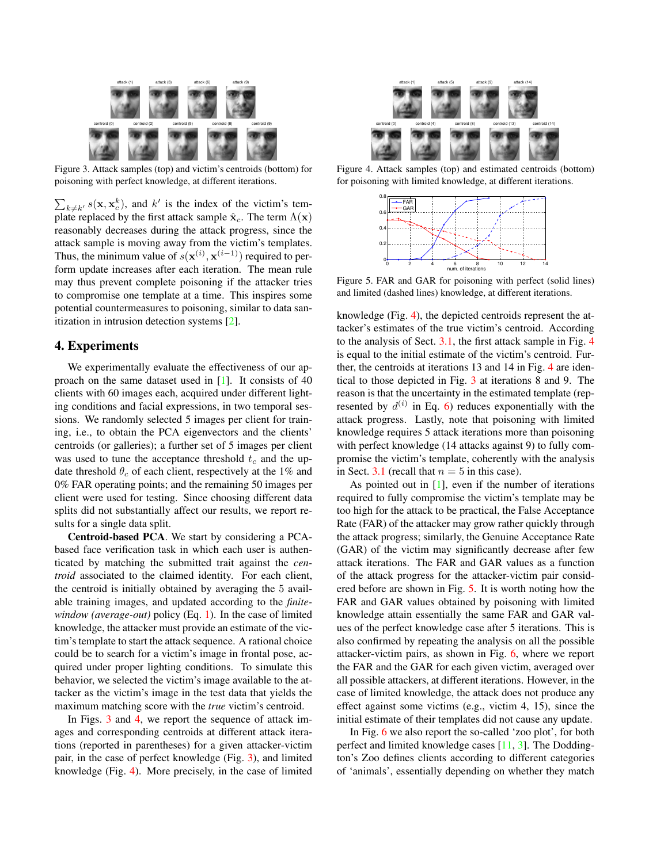<span id="page-4-4"></span>

<span id="page-4-1"></span>Figure 3. Attack samples (top) and victim's centroids (bottom) for poisoning with perfect knowledge, at different iterations.

 $\sum_{k \neq k'} s(\mathbf{x}, \mathbf{x}_c^k)$ , and k' is the index of the victim's template replaced by the first attack sample  $\hat{\mathbf{x}}_c$ . The term  $\Lambda(\mathbf{x})$ reasonably decreases during the attack progress, since the attack sample is moving away from the victim's templates. Thus, the minimum value of  $s(\mathbf{x}^{(i)}, \mathbf{x}^{(i-1)})$  required to perform update increases after each iteration. The mean rule may thus prevent complete poisoning if the attacker tries to compromise one template at a time. This inspires some potential countermeasures to poisoning, similar to data sanitization in intrusion detection systems [\[2\]](#page-6-8).

## <span id="page-4-0"></span>4. Experiments

We experimentally evaluate the effectiveness of our approach on the same dataset used in [\[1\]](#page-6-3). It consists of 40 clients with 60 images each, acquired under different lighting conditions and facial expressions, in two temporal sessions. We randomly selected 5 images per client for training, i.e., to obtain the PCA eigenvectors and the clients' centroids (or galleries); a further set of 5 images per client was used to tune the acceptance threshold  $t_c$  and the update threshold  $\theta_c$  of each client, respectively at the 1% and 0% FAR operating points; and the remaining 50 images per client were used for testing. Since choosing different data splits did not substantially affect our results, we report results for a single data split.

Centroid-based PCA. We start by considering a PCAbased face verification task in which each user is authenticated by matching the submitted trait against the *centroid* associated to the claimed identity. For each client, the centroid is initially obtained by averaging the 5 available training images, and updated according to the *finitewindow (average-out)* policy (Eq. [1\)](#page-1-3). In the case of limited knowledge, the attacker must provide an estimate of the victim's template to start the attack sequence. A rational choice could be to search for a victim's image in frontal pose, acquired under proper lighting conditions. To simulate this behavior, we selected the victim's image available to the attacker as the victim's image in the test data that yields the maximum matching score with the *true* victim's centroid.

In Figs. [3](#page-4-1) and [4,](#page-4-2) we report the sequence of attack images and corresponding centroids at different attack iterations (reported in parentheses) for a given attacker-victim pair, in the case of perfect knowledge (Fig. [3\)](#page-4-1), and limited knowledge (Fig. [4\)](#page-4-2). More precisely, in the case of limited



Figure 4. Attack samples (top) and estimated centroids (bottom) for poisoning with limited knowledge, at different iterations.

<span id="page-4-2"></span>

<span id="page-4-3"></span>Figure 5. FAR and GAR for poisoning with perfect (solid lines) and limited (dashed lines) knowledge, at different iterations.

knowledge (Fig. [4\)](#page-4-2), the depicted centroids represent the attacker's estimates of the true victim's centroid. According to the analysis of Sect. [3.1,](#page-1-1) the first attack sample in Fig. [4](#page-4-2) is equal to the initial estimate of the victim's centroid. Further, the centroids at iterations 13 and 14 in Fig. [4](#page-4-2) are identical to those depicted in Fig. [3](#page-4-1) at iterations 8 and 9. The reason is that the uncertainty in the estimated template (represented by  $d^{(i)}$  in Eq. [6\)](#page-2-6) reduces exponentially with the attack progress. Lastly, note that poisoning with limited knowledge requires 5 attack iterations more than poisoning with perfect knowledge (14 attacks against 9) to fully compromise the victim's template, coherently with the analysis in Sect. [3.1](#page-1-1) (recall that  $n = 5$  in this case).

As pointed out in  $[1]$ , even if the number of iterations required to fully compromise the victim's template may be too high for the attack to be practical, the False Acceptance Rate (FAR) of the attacker may grow rather quickly through the attack progress; similarly, the Genuine Acceptance Rate (GAR) of the victim may significantly decrease after few attack iterations. The FAR and GAR values as a function of the attack progress for the attacker-victim pair considered before are shown in Fig. [5.](#page-4-3) It is worth noting how the FAR and GAR values obtained by poisoning with limited knowledge attain essentially the same FAR and GAR values of the perfect knowledge case after 5 iterations. This is also confirmed by repeating the analysis on all the possible attacker-victim pairs, as shown in Fig. [6,](#page-6-9) where we report the FAR and the GAR for each given victim, averaged over all possible attackers, at different iterations. However, in the case of limited knowledge, the attack does not produce any effect against some victims (e.g., victim 4, 15), since the initial estimate of their templates did not cause any update.

In Fig. [6](#page-6-9) we also report the so-called 'zoo plot', for both perfect and limited knowledge cases [\[11,](#page-6-10) [3\]](#page-6-11). The Doddington's Zoo defines clients according to different categories of 'animals', essentially depending on whether they match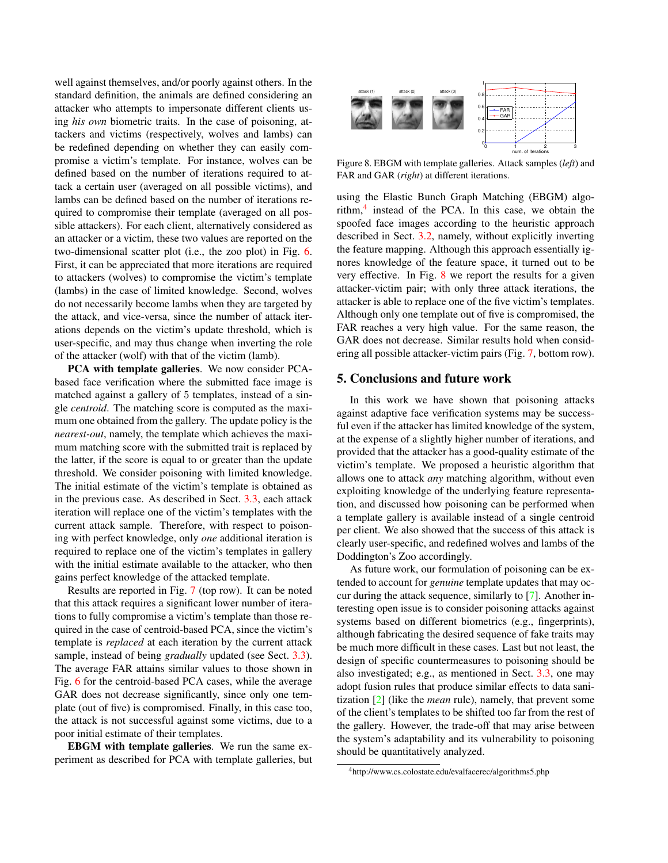<span id="page-5-3"></span>well against themselves, and/or poorly against others. In the standard definition, the animals are defined considering an attacker who attempts to impersonate different clients using *his own* biometric traits. In the case of poisoning, attackers and victims (respectively, wolves and lambs) can be redefined depending on whether they can easily compromise a victim's template. For instance, wolves can be defined based on the number of iterations required to attack a certain user (averaged on all possible victims), and lambs can be defined based on the number of iterations required to compromise their template (averaged on all possible attackers). For each client, alternatively considered as an attacker or a victim, these two values are reported on the two-dimensional scatter plot (i.e., the zoo plot) in Fig. [6.](#page-6-9) First, it can be appreciated that more iterations are required to attackers (wolves) to compromise the victim's template (lambs) in the case of limited knowledge. Second, wolves do not necessarily become lambs when they are targeted by the attack, and vice-versa, since the number of attack iterations depends on the victim's update threshold, which is user-specific, and may thus change when inverting the role of the attacker (wolf) with that of the victim (lamb).

PCA with template galleries. We now consider PCAbased face verification where the submitted face image is matched against a gallery of 5 templates, instead of a single *centroid*. The matching score is computed as the maximum one obtained from the gallery. The update policy is the *nearest-out*, namely, the template which achieves the maximum matching score with the submitted trait is replaced by the latter, if the score is equal to or greater than the update threshold. We consider poisoning with limited knowledge. The initial estimate of the victim's template is obtained as in the previous case. As described in Sect. [3.3,](#page-3-1) each attack iteration will replace one of the victim's templates with the current attack sample. Therefore, with respect to poisoning with perfect knowledge, only *one* additional iteration is required to replace one of the victim's templates in gallery with the initial estimate available to the attacker, who then gains perfect knowledge of the attacked template.

Results are reported in Fig. [7](#page-6-12) (top row). It can be noted that this attack requires a significant lower number of iterations to fully compromise a victim's template than those required in the case of centroid-based PCA, since the victim's template is *replaced* at each iteration by the current attack sample, instead of being *gradually* updated (see Sect. [3.3\)](#page-3-1). The average FAR attains similar values to those shown in Fig. [6](#page-6-9) for the centroid-based PCA cases, while the average GAR does not decrease significantly, since only one template (out of five) is compromised. Finally, in this case too, the attack is not successful against some victims, due to a poor initial estimate of their templates.

EBGM with template galleries. We run the same experiment as described for PCA with template galleries, but



<span id="page-5-2"></span>Figure 8. EBGM with template galleries. Attack samples (*left*) and FAR and GAR (*right*) at different iterations.

using the Elastic Bunch Graph Matching (EBGM) algo-rithm,<sup>[4](#page-5-1)</sup> instead of the PCA. In this case, we obtain the spoofed face images according to the heuristic approach described in Sect. [3.2,](#page-3-0) namely, without explicitly inverting the feature mapping. Although this approach essentially ignores knowledge of the feature space, it turned out to be very effective. In Fig. [8](#page-5-2) we report the results for a given attacker-victim pair; with only three attack iterations, the attacker is able to replace one of the five victim's templates. Although only one template out of five is compromised, the FAR reaches a very high value. For the same reason, the GAR does not decrease. Similar results hold when considering all possible attacker-victim pairs (Fig. [7,](#page-6-12) bottom row).

#### <span id="page-5-0"></span>5. Conclusions and future work

In this work we have shown that poisoning attacks against adaptive face verification systems may be successful even if the attacker has limited knowledge of the system, at the expense of a slightly higher number of iterations, and provided that the attacker has a good-quality estimate of the victim's template. We proposed a heuristic algorithm that allows one to attack *any* matching algorithm, without even exploiting knowledge of the underlying feature representation, and discussed how poisoning can be performed when a template gallery is available instead of a single centroid per client. We also showed that the success of this attack is clearly user-specific, and redefined wolves and lambs of the Doddington's Zoo accordingly.

As future work, our formulation of poisoning can be extended to account for *genuine* template updates that may occur during the attack sequence, similarly to [\[7\]](#page-6-4). Another interesting open issue is to consider poisoning attacks against systems based on different biometrics (e.g., fingerprints), although fabricating the desired sequence of fake traits may be much more difficult in these cases. Last but not least, the design of specific countermeasures to poisoning should be also investigated; e.g., as mentioned in Sect. [3.3,](#page-3-1) one may adopt fusion rules that produce similar effects to data sanitization [\[2\]](#page-6-8) (like the *mean* rule), namely, that prevent some of the client's templates to be shifted too far from the rest of the gallery. However, the trade-off that may arise between the system's adaptability and its vulnerability to poisoning should be quantitatively analyzed.

<span id="page-5-1"></span><sup>4</sup>http://www.cs.colostate.edu/evalfacerec/algorithms5.php